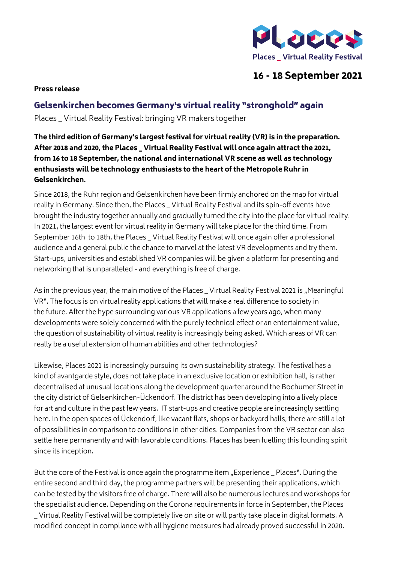

## **16 - 18 September 2021**

## **Press release**

## Gelsenkirchen becomes Germany's virtual reality "stronghold" again

Places \_ Virtual Reality Festival: bringing VR makers together

**The third edition of Germany's largest festival for virtual reality (VR) is in the preparation. After 2018 and 2020, the Places \_ Virtual Reality Festival will once again attract the 2021, from 16 to 18 September, the national and international VR scene as well as technology enthusiasts will be technology enthusiasts to the heart of the Metropole Ruhr in Gelsenkirchen.**

Since 2018, the Ruhr region and Gelsenkirchen have been firmly anchored on the map for virtual reality in Germany. Since then, the Places \_ Virtual Reality Festival and its spin-off events have brought the industry together annually and gradually turned the city into the place for virtual reality. In 2021, the largest event for virtual reality in Germany will take place for the third time. From September 16th to 18th, the Places \_ Virtual Reality Festival will once again offer a professional audience and a general public the chance to marvel at the latest VR developments and try them. Start-ups, universities and established VR companies will be given a platform for presenting and networking that is unparalleled - and everything is free of charge.

As in the previous year, the main motive of the Places Virtual Reality Festival 2021 is "Meaningful VR". The focus is on virtual reality applications that will make a real difference to society in the future. After the hype surrounding various VR applications a few years ago, when many developments were solely concerned with the purely technical effect or an entertainment value, the question of sustainability of virtual reality is increasingly being asked. Which areas of VR can really be a useful extension of human abilities and other technologies?

Likewise, Places 2021 is increasingly pursuing its own sustainability strategy. The festival has a kind of avantgarde style, does not take place in an exclusive location or exhibition hall, is rather decentralised at unusual locations along the development quarter around the Bochumer Street in the city district of Gelsenkirchen-Ückendorf. The district has been developing into a lively place for art and culture in the past few years. IT start-ups and creative people are increasingly settling here. In the open spaces of Ückendorf, like vacant flats, shops or backyard halls, there are still a lot of possibilities in comparison to conditions in other cities. Companies from the VR sector can also settle here permanently and with favorable conditions. Places has been fuelling this founding spirit since its inception.

But the core of the Festival is once again the programme item "Experience Places". During the entire second and third day, the programme partners will be presenting their applications, which can be tested by the visitors free of charge. There will also be numerous lectures and workshops for the specialist audience. Depending on the Corona requirements in force in September, the Places \_ Virtual Reality Festival will be completely live on site or will partly take place in digital formats. A modified concept in compliance with all hygiene measures had already proved successful in 2020.